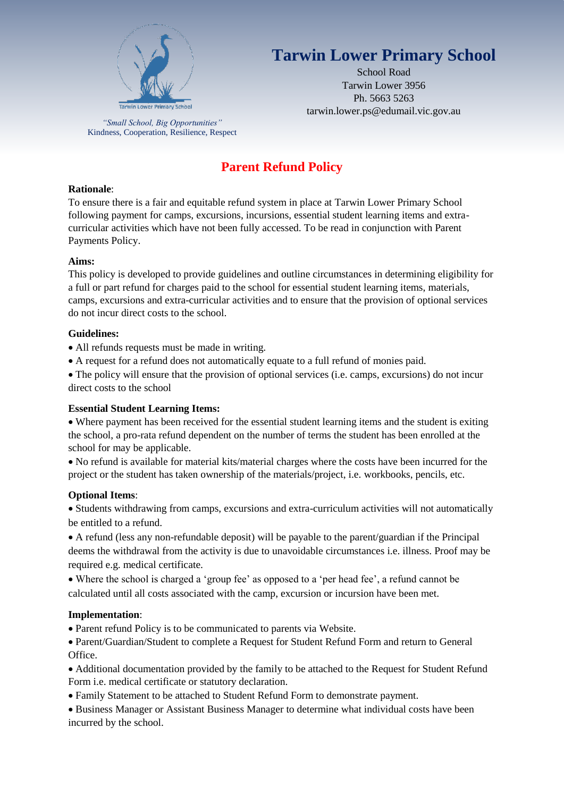

*"Small School, Big Opportunities"* Kindness, Cooperation, Resilience, Respect

# **Tarwin Lower Primary School**

School Road Tarwin Lower 3956 Ph. 5663 5263 tarwin.lower.ps@edumail.vic.gov.au

# **Parent Refund Policy**

#### **Rationale**:

To ensure there is a fair and equitable refund system in place at Tarwin Lower Primary School following payment for camps, excursions, incursions, essential student learning items and extracurricular activities which have not been fully accessed. To be read in conjunction with Parent Payments Policy.

#### **Aims:**

This policy is developed to provide guidelines and outline circumstances in determining eligibility for a full or part refund for charges paid to the school for essential student learning items, materials, camps, excursions and extra-curricular activities and to ensure that the provision of optional services do not incur direct costs to the school.

#### **Guidelines:**

- All refunds requests must be made in writing.
- A request for a refund does not automatically equate to a full refund of monies paid.

 The policy will ensure that the provision of optional services (i.e. camps, excursions) do not incur direct costs to the school

## **Essential Student Learning Items:**

 Where payment has been received for the essential student learning items and the student is exiting the school, a pro-rata refund dependent on the number of terms the student has been enrolled at the school for may be applicable.

 No refund is available for material kits/material charges where the costs have been incurred for the project or the student has taken ownership of the materials/project, i.e. workbooks, pencils, etc.

## **Optional Items**:

 Students withdrawing from camps, excursions and extra-curriculum activities will not automatically be entitled to a refund.

 A refund (less any non-refundable deposit) will be payable to the parent/guardian if the Principal deems the withdrawal from the activity is due to unavoidable circumstances i.e. illness. Proof may be required e.g. medical certificate.

 Where the school is charged a 'group fee' as opposed to a 'per head fee', a refund cannot be calculated until all costs associated with the camp, excursion or incursion have been met.

#### **Implementation**:

Parent refund Policy is to be communicated to parents via Website.

 Parent/Guardian/Student to complete a Request for Student Refund Form and return to General Office.

 Additional documentation provided by the family to be attached to the Request for Student Refund Form i.e. medical certificate or statutory declaration.

Family Statement to be attached to Student Refund Form to demonstrate payment.

 Business Manager or Assistant Business Manager to determine what individual costs have been incurred by the school.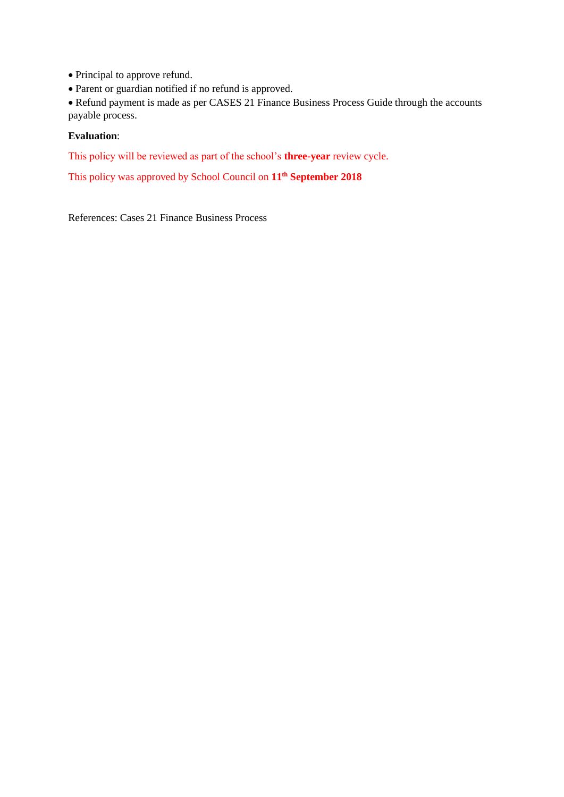Principal to approve refund.

Parent or guardian notified if no refund is approved.

 Refund payment is made as per CASES 21 Finance Business Process Guide through the accounts payable process.

#### **Evaluation**:

This policy will be reviewed as part of the school's **three-year** review cycle.

This policy was approved by School Council on **11th September 2018**

References: Cases 21 Finance Business Process